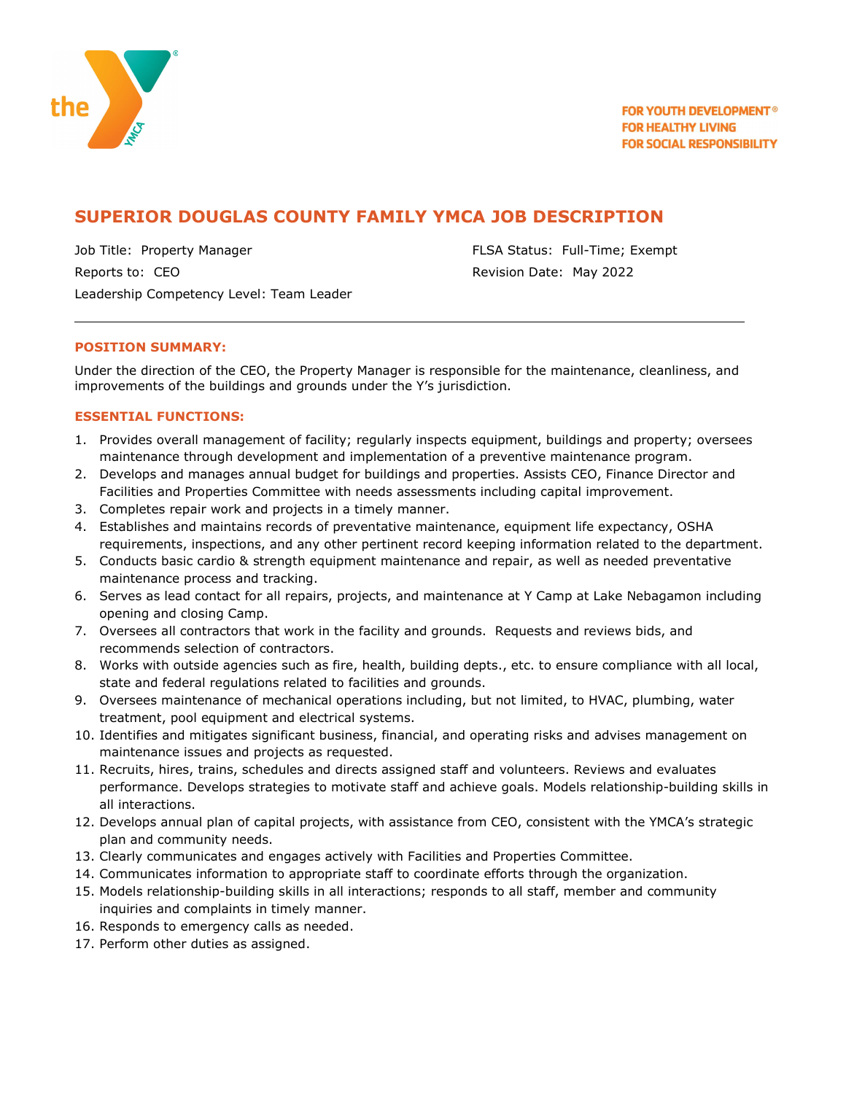

# SUPERIOR DOUGLAS COUNTY FAMILY YMCA JOB DESCRIPTION

Job Title: Property Manager FLSA Status: Full-Time; Exempt Reports to: CEO **Reports** to: CEO **Revision Date: May 2022** Leadership Competency Level: Team Leader

## POSITION SUMMARY:

Under the direction of the CEO, the Property Manager is responsible for the maintenance, cleanliness, and improvements of the buildings and grounds under the Y's jurisdiction.

## ESSENTIAL FUNCTIONS:

- 1. Provides overall management of facility; regularly inspects equipment, buildings and property; oversees maintenance through development and implementation of a preventive maintenance program.
- 2. Develops and manages annual budget for buildings and properties. Assists CEO, Finance Director and Facilities and Properties Committee with needs assessments including capital improvement.
- 3. Completes repair work and projects in a timely manner.
- 4. Establishes and maintains records of preventative maintenance, equipment life expectancy, OSHA requirements, inspections, and any other pertinent record keeping information related to the department.
- 5. Conducts basic cardio & strength equipment maintenance and repair, as well as needed preventative maintenance process and tracking.
- 6. Serves as lead contact for all repairs, projects, and maintenance at Y Camp at Lake Nebagamon including opening and closing Camp.
- 7. Oversees all contractors that work in the facility and grounds. Requests and reviews bids, and recommends selection of contractors.
- 8. Works with outside agencies such as fire, health, building depts., etc. to ensure compliance with all local, state and federal regulations related to facilities and grounds.
- 9. Oversees maintenance of mechanical operations including, but not limited, to HVAC, plumbing, water treatment, pool equipment and electrical systems.
- 10. Identifies and mitigates significant business, financial, and operating risks and advises management on maintenance issues and projects as requested.
- 11. Recruits, hires, trains, schedules and directs assigned staff and volunteers. Reviews and evaluates performance. Develops strategies to motivate staff and achieve goals. Models relationship-building skills in all interactions.
- 12. Develops annual plan of capital projects, with assistance from CEO, consistent with the YMCA's strategic plan and community needs.
- 13. Clearly communicates and engages actively with Facilities and Properties Committee.
- 14. Communicates information to appropriate staff to coordinate efforts through the organization.
- 15. Models relationship-building skills in all interactions; responds to all staff, member and community inquiries and complaints in timely manner.
- 16. Responds to emergency calls as needed.
- 17. Perform other duties as assigned.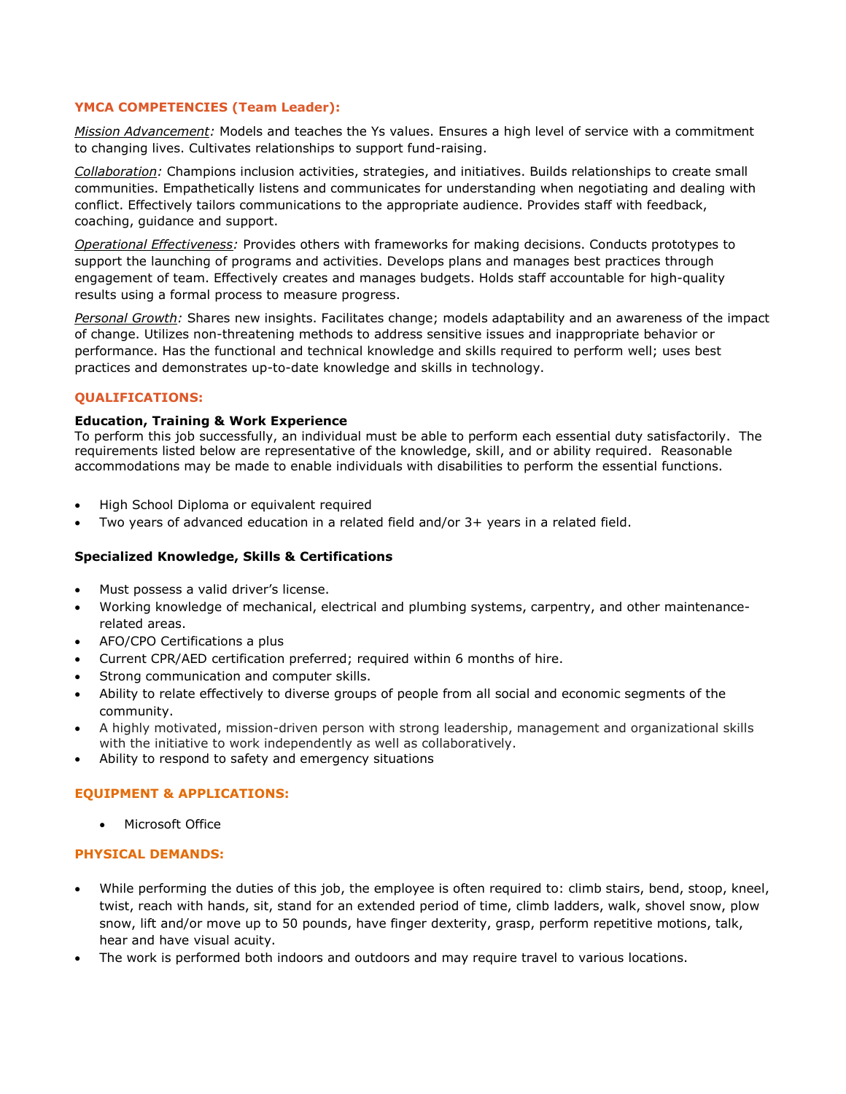#### YMCA COMPETENCIES (Team Leader):

Mission Advancement: Models and teaches the Ys values. Ensures a high level of service with a commitment to changing lives. Cultivates relationships to support fund-raising.

Collaboration: Champions inclusion activities, strategies, and initiatives. Builds relationships to create small communities. Empathetically listens and communicates for understanding when negotiating and dealing with conflict. Effectively tailors communications to the appropriate audience. Provides staff with feedback, coaching, guidance and support.

Operational Effectiveness: Provides others with frameworks for making decisions. Conducts prototypes to support the launching of programs and activities. Develops plans and manages best practices through engagement of team. Effectively creates and manages budgets. Holds staff accountable for high-quality results using a formal process to measure progress.

Personal Growth: Shares new insights. Facilitates change; models adaptability and an awareness of the impact of change. Utilizes non-threatening methods to address sensitive issues and inappropriate behavior or performance. Has the functional and technical knowledge and skills required to perform well; uses best practices and demonstrates up-to-date knowledge and skills in technology.

## QUALIFICATIONS:

#### Education, Training & Work Experience

To perform this job successfully, an individual must be able to perform each essential duty satisfactorily. The requirements listed below are representative of the knowledge, skill, and or ability required. Reasonable accommodations may be made to enable individuals with disabilities to perform the essential functions.

- High School Diploma or equivalent required
- Two years of advanced education in a related field and/or 3+ years in a related field.

# Specialized Knowledge, Skills & Certifications

- Must possess a valid driver's license.
- Working knowledge of mechanical, electrical and plumbing systems, carpentry, and other maintenancerelated areas.
- AFO/CPO Certifications a plus
- Current CPR/AED certification preferred; required within 6 months of hire.
- Strong communication and computer skills.
- Ability to relate effectively to diverse groups of people from all social and economic segments of the community.
- A highly motivated, mission-driven person with strong leadership, management and organizational skills with the initiative to work independently as well as collaboratively.
- Ability to respond to safety and emergency situations

# EQUIPMENT & APPLICATIONS:

Microsoft Office

#### PHYSICAL DEMANDS:

- While performing the duties of this job, the employee is often required to: climb stairs, bend, stoop, kneel, twist, reach with hands, sit, stand for an extended period of time, climb ladders, walk, shovel snow, plow snow, lift and/or move up to 50 pounds, have finger dexterity, grasp, perform repetitive motions, talk, hear and have visual acuity.
- The work is performed both indoors and outdoors and may require travel to various locations.